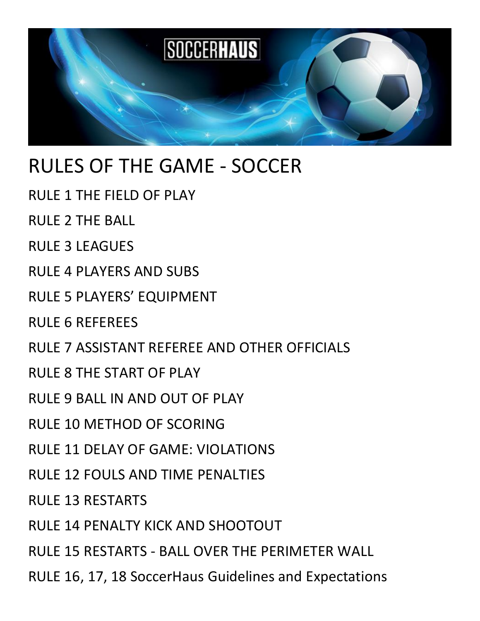

# RULES OF THE GAME - SOCCER

- RULE 1 THE FIELD OF PLAY
- RULE 2 THE BALL
- RULE 3 LEAGUES
- RULE 4 PLAYERS AND SUBS
- RULE 5 PLAYERS' EQUIPMENT
- RULE 6 REFEREES
- RULE 7 ASSISTANT REFEREE AND OTHER OFFICIALS
- RULE 8 THE START OF PLAY
- RULE 9 BALL IN AND OUT OF PLAY
- RULE 10 METHOD OF SCORING
- RULE 11 DELAY OF GAME: VIOLATIONS
- RULE 12 FOULS AND TIME PENALTIES
- RULE 13 RESTARTS
- RULE 14 PENALTY KICK AND SHOOTOUT
- RULE 15 RESTARTS BALL OVER THE PERIMETER WALL
- RULE 16, 17, 18 SoccerHaus Guidelines and Expectations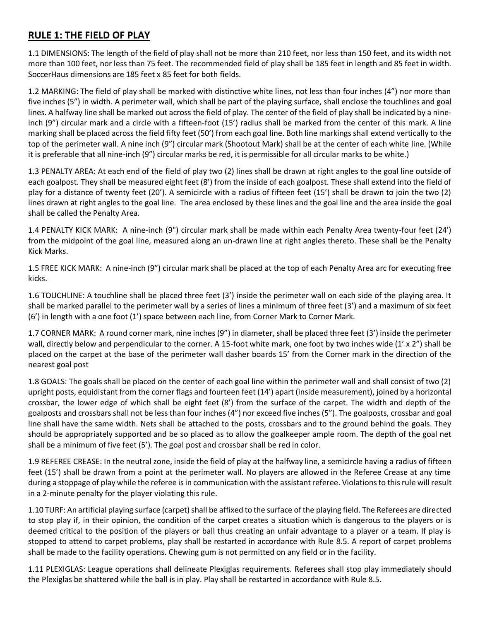## **RULE 1: THE FIELD OF PLAY**

1.1 DIMENSIONS: The length of the field of play shall not be more than 210 feet, nor less than 150 feet, and its width not more than 100 feet, nor less than 75 feet. The recommended field of play shall be 185 feet in length and 85 feet in width. SoccerHaus dimensions are 185 feet x 85 feet for both fields.

1.2 MARKING: The field of play shall be marked with distinctive white lines, not less than four inches (4") nor more than five inches (5") in width. A perimeter wall, which shall be part of the playing surface, shall enclose the touchlines and goal lines. A halfway line shall be marked out across the field of play. The center of the field of play shall be indicated by a nineinch (9") circular mark and a circle with a fifteen-foot (15') radius shall be marked from the center of this mark. A line marking shall be placed across the field fifty feet (50') from each goal line. Both line markings shall extend vertically to the top of the perimeter wall. A nine inch (9") circular mark (Shootout Mark) shall be at the center of each white line. (While it is preferable that all nine-inch (9") circular marks be red, it is permissible for all circular marks to be white.)

1.3 PENALTY AREA: At each end of the field of play two (2) lines shall be drawn at right angles to the goal line outside of each goalpost. They shall be measured eight feet (8') from the inside of each goalpost. These shall extend into the field of play for a distance of twenty feet (20'). A semicircle with a radius of fifteen feet (15') shall be drawn to join the two (2) lines drawn at right angles to the goal line. The area enclosed by these lines and the goal line and the area inside the goal shall be called the Penalty Area.

1.4 PENALTY KICK MARK: A nine-inch (9") circular mark shall be made within each Penalty Area twenty-four feet (24') from the midpoint of the goal line, measured along an un-drawn line at right angles thereto. These shall be the Penalty Kick Marks.

1.5 FREE KICK MARK: A nine-inch (9") circular mark shall be placed at the top of each Penalty Area arc for executing free kicks.

1.6 TOUCHLINE: A touchline shall be placed three feet (3') inside the perimeter wall on each side of the playing area. It shall be marked parallel to the perimeter wall by a series of lines a minimum of three feet (3') and a maximum of six feet (6') in length with a one foot (1') space between each line, from Corner Mark to Corner Mark.

1.7 CORNER MARK: A round corner mark, nine inches (9") in diameter, shall be placed three feet (3') inside the perimeter wall, directly below and perpendicular to the corner. A 15-foot white mark, one foot by two inches wide (1' x 2") shall be placed on the carpet at the base of the perimeter wall dasher boards 15' from the Corner mark in the direction of the nearest goal post

1.8 GOALS: The goals shall be placed on the center of each goal line within the perimeter wall and shall consist of two (2) upright posts, equidistant from the corner flags and fourteen feet (14') apart (inside measurement), joined by a horizontal crossbar, the lower edge of which shall be eight feet (8') from the surface of the carpet. The width and depth of the goalposts and crossbars shall not be less than four inches (4") nor exceed five inches (5"). The goalposts, crossbar and goal line shall have the same width. Nets shall be attached to the posts, crossbars and to the ground behind the goals. They should be appropriately supported and be so placed as to allow the goalkeeper ample room. The depth of the goal net shall be a minimum of five feet (5'). The goal post and crossbar shall be red in color.

1.9 REFEREE CREASE: In the neutral zone, inside the field of play at the halfway line, a semicircle having a radius of fifteen feet (15') shall be drawn from a point at the perimeter wall. No players are allowed in the Referee Crease at any time during a stoppage of play while the referee is in communication with the assistant referee. Violations to this rule will result in a 2-minute penalty for the player violating this rule.

1.10 TURF: An artificial playing surface (carpet) shall be affixed to the surface of the playing field. The Referees are directed to stop play if, in their opinion, the condition of the carpet creates a situation which is dangerous to the players or is deemed critical to the position of the players or ball thus creating an unfair advantage to a player or a team. If play is stopped to attend to carpet problems, play shall be restarted in accordance with Rule 8.5. A report of carpet problems shall be made to the facility operations. Chewing gum is not permitted on any field or in the facility.

1.11 PLEXIGLAS: League operations shall delineate Plexiglas requirements. Referees shall stop play immediately should the Plexiglas be shattered while the ball is in play. Play shall be restarted in accordance with Rule 8.5.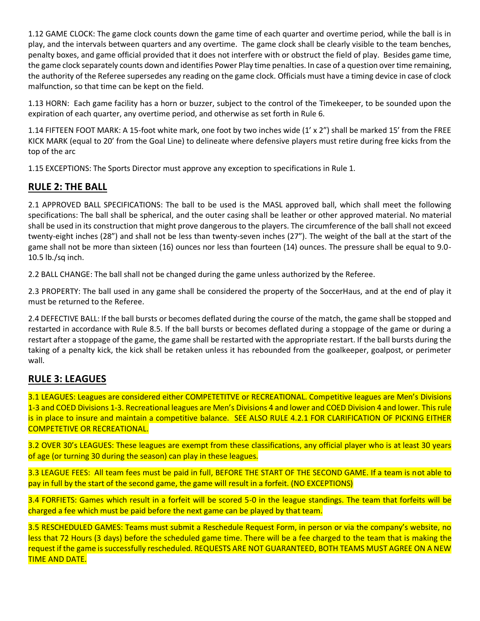1.12 GAME CLOCK: The game clock counts down the game time of each quarter and overtime period, while the ball is in play, and the intervals between quarters and any overtime. The game clock shall be clearly visible to the team benches, penalty boxes, and game official provided that it does not interfere with or obstruct the field of play. Besides game time, the game clock separately counts down and identifies Power Play time penalties. In case of a question over time remaining, the authority of the Referee supersedes any reading on the game clock. Officials must have a timing device in case of clock malfunction, so that time can be kept on the field.

1.13 HORN: Each game facility has a horn or buzzer, subject to the control of the Timekeeper, to be sounded upon the expiration of each quarter, any overtime period, and otherwise as set forth in Rule 6.

1.14 FIFTEEN FOOT MARK: A 15-foot white mark, one foot by two inches wide (1' x 2") shall be marked 15' from the FREE KICK MARK (equal to 20' from the Goal Line) to delineate where defensive players must retire during free kicks from the top of the arc

1.15 EXCEPTIONS: The Sports Director must approve any exception to specifications in Rule 1.

## **RULE 2: THE BALL**

2.1 APPROVED BALL SPECIFICATIONS: The ball to be used is the MASL approved ball, which shall meet the following specifications: The ball shall be spherical, and the outer casing shall be leather or other approved material. No material shall be used in its construction that might prove dangerous to the players. The circumference of the ball shall not exceed twenty-eight inches (28") and shall not be less than twenty-seven inches (27"). The weight of the ball at the start of the game shall not be more than sixteen (16) ounces nor less than fourteen (14) ounces. The pressure shall be equal to 9.0- 10.5 lb./sq inch.

2.2 BALL CHANGE: The ball shall not be changed during the game unless authorized by the Referee.

2.3 PROPERTY: The ball used in any game shall be considered the property of the SoccerHaus, and at the end of play it must be returned to the Referee.

2.4 DEFECTIVE BALL: If the ball bursts or becomes deflated during the course of the match, the game shall be stopped and restarted in accordance with Rule 8.5. If the ball bursts or becomes deflated during a stoppage of the game or during a restart after a stoppage of the game, the game shall be restarted with the appropriate restart. If the ball bursts during the taking of a penalty kick, the kick shall be retaken unless it has rebounded from the goalkeeper, goalpost, or perimeter wall.

## **RULE 3: LEAGUES**

3.1 LEAGUES: Leagues are considered either COMPETETITVE or RECREATIONAL. Competitive leagues are Men's Divisions 1-3 and COED Divisions 1-3. Recreational leagues are Men's Divisions 4 and lower and COED Division 4 and lower. This rule is in place to insure and maintain a competitive balance. SEE ALSO RULE 4.2.1 FOR CLARIFICATION OF PICKING EITHER COMPETETIVE OR RECREATIONAL.

3.2 OVER 30's LEAGUES: These leagues are exempt from these classifications, any official player who is at least 30 years of age (or turning 30 during the season) can play in these leagues.

3.3 LEAGUE FEES: All team fees must be paid in full, BEFORE THE START OF THE SECOND GAME. If a team is not able to pay in full by the start of the second game, the game will result in a forfeit. (NO EXCEPTIONS)

3.4 FORFIETS: Games which result in a forfeit will be scored 5-0 in the league standings. The team that forfeits will be charged a fee which must be paid before the next game can be played by that team.

3.5 RESCHEDULED GAMES: Teams must submit a Reschedule Request Form, in person or via the company's website, no less that 72 Hours (3 days) before the scheduled game time. There will be a fee charged to the team that is making the request if the game is successfully rescheduled. REQUESTS ARE NOT GUARANTEED, BOTH TEAMS MUST AGREE ON A NEW TIME AND DATE.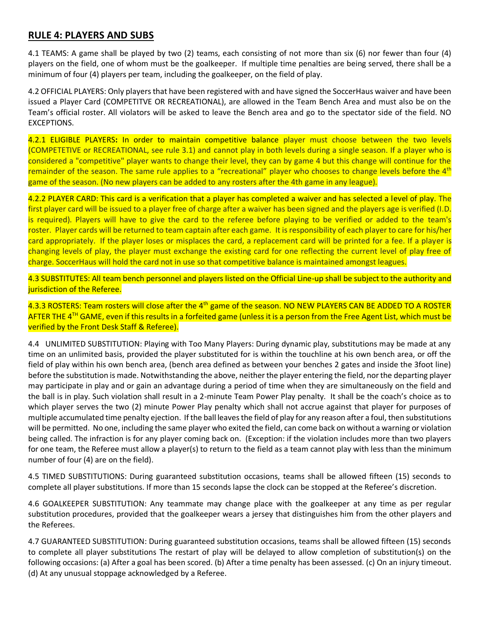#### **RULE 4: PLAYERS AND SUBS**

4.1 TEAMS: A game shall be played by two (2) teams, each consisting of not more than six (6) nor fewer than four (4) players on the field, one of whom must be the goalkeeper. If multiple time penalties are being served, there shall be a minimum of four (4) players per team, including the goalkeeper, on the field of play.

4.2 OFFICIAL PLAYERS: Only players that have been registered with and have signed the SoccerHaus waiver and have been issued a Player Card (COMPETITVE OR RECREATIONAL), are allowed in the Team Bench Area and must also be on the Team's official roster. All violators will be asked to leave the Bench area and go to the spectator side of the field. NO EXCEPTIONS.

4.2.1 ELIGIBLE PLAYERS**:** In order to maintain competitive balance player must choose between the two levels (COMPETETIVE or RECREATIONAL, see rule 3.1) and cannot play in both levels during a single season. If a player who is considered a "competitive" player wants to change their level, they can by game 4 but this change will continue for the remainder of the season. The same rule applies to a "recreational" player who chooses to change levels before the 4<sup>th</sup> game of the season. (No new players can be added to any rosters after the 4th game in any league).

4.2.2 PLAYER CARD: This card is a verification that a player has completed a waiver and has selected a level of play. The first player card will be issued to a player free of charge after a waiver has been signed and the players age is verified (I.D. is required). Players will have to give the card to the referee before playing to be verified or added to the team's roster. Player cards will be returned to team captain after each game. It is responsibility of each player to care for his/her card appropriately. If the player loses or misplaces the card, a replacement card will be printed for a fee. If a player is changing levels of play, the player must exchange the existing card for one reflecting the current level of play free of charge. SoccerHaus will hold the card not in use so that competitive balance is maintained amongst leagues.

4.3 SUBSTITUTES: All team bench personnel and players listed on the Official Line-up shall be subject to the authority and jurisdiction of the Referee.

4.3.3 ROSTERS: Team rosters will close after the 4<sup>th</sup> game of the season. NO NEW PLAYERS CAN BE ADDED TO A ROSTER AFTER THE 4™ GAME, even if this results in a forfeited game (unless it is a person from the Free Agent List, which must be verified by the Front Desk Staff & Referee).

4.4 UNLIMITED SUBSTITUTION: Playing with Too Many Players: During dynamic play, substitutions may be made at any time on an unlimited basis, provided the player substituted for is within the touchline at his own bench area, or off the field of play within his own bench area, (bench area defined as between your benches 2 gates and inside the 3foot line) before the substitution is made. Notwithstanding the above, neither the player entering the field, nor the departing player may participate in play and or gain an advantage during a period of time when they are simultaneously on the field and the ball is in play. Such violation shall result in a 2-minute Team Power Play penalty. It shall be the coach's choice as to which player serves the two (2) minute Power Play penalty which shall not accrue against that player for purposes of multiple accumulated time penalty ejection. If the ball leaves the field of play for any reason after a foul, then substitutions will be permitted. No one, including the same player who exited the field, can come back on without a warning or violation being called. The infraction is for any player coming back on. (Exception: if the violation includes more than two players for one team, the Referee must allow a player(s) to return to the field as a team cannot play with less than the minimum number of four (4) are on the field).

4.5 TIMED SUBSTITUTIONS: During guaranteed substitution occasions, teams shall be allowed fifteen (15) seconds to complete all player substitutions. If more than 15 seconds lapse the clock can be stopped at the Referee's discretion.

4.6 GOALKEEPER SUBSTITUTION: Any teammate may change place with the goalkeeper at any time as per regular substitution procedures, provided that the goalkeeper wears a jersey that distinguishes him from the other players and the Referees.

4.7 GUARANTEED SUBSTITUTION: During guaranteed substitution occasions, teams shall be allowed fifteen (15) seconds to complete all player substitutions The restart of play will be delayed to allow completion of substitution(s) on the following occasions: (a) After a goal has been scored. (b) After a time penalty has been assessed. (c) On an injury timeout. (d) At any unusual stoppage acknowledged by a Referee.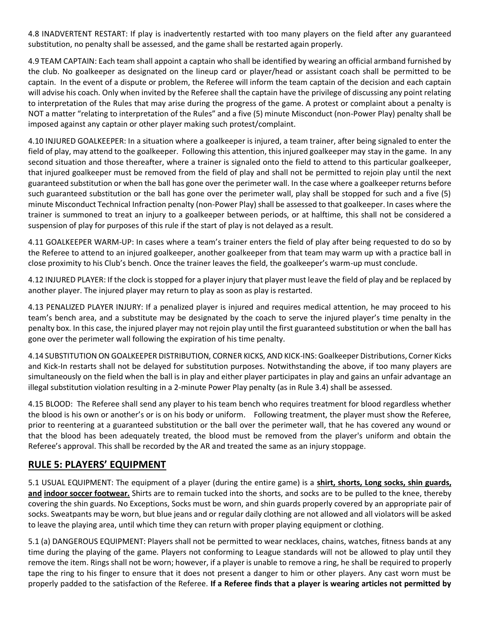4.8 INADVERTENT RESTART: If play is inadvertently restarted with too many players on the field after any guaranteed substitution, no penalty shall be assessed, and the game shall be restarted again properly.

4.9 TEAM CAPTAIN: Each team shall appoint a captain who shall be identified by wearing an official armband furnished by the club. No goalkeeper as designated on the lineup card or player/head or assistant coach shall be permitted to be captain. In the event of a dispute or problem, the Referee will inform the team captain of the decision and each captain will advise his coach. Only when invited by the Referee shall the captain have the privilege of discussing any point relating to interpretation of the Rules that may arise during the progress of the game. A protest or complaint about a penalty is NOT a matter "relating to interpretation of the Rules" and a five (5) minute Misconduct (non-Power Play) penalty shall be imposed against any captain or other player making such protest/complaint.

4.10 INJURED GOALKEEPER: In a situation where a goalkeeper is injured, a team trainer, after being signaled to enter the field of play, may attend to the goalkeeper. Following this attention, this injured goalkeeper may stay in the game. In any second situation and those thereafter, where a trainer is signaled onto the field to attend to this particular goalkeeper, that injured goalkeeper must be removed from the field of play and shall not be permitted to rejoin play until the next guaranteed substitution or when the ball has gone over the perimeter wall. In the case where a goalkeeper returns before such guaranteed substitution or the ball has gone over the perimeter wall, play shall be stopped for such and a five (5) minute Misconduct Technical Infraction penalty (non-Power Play) shall be assessed to that goalkeeper. In cases where the trainer is summoned to treat an injury to a goalkeeper between periods, or at halftime, this shall not be considered a suspension of play for purposes of this rule if the start of play is not delayed as a result.

4.11 GOALKEEPER WARM-UP: In cases where a team's trainer enters the field of play after being requested to do so by the Referee to attend to an injured goalkeeper, another goalkeeper from that team may warm up with a practice ball in close proximity to his Club's bench. Once the trainer leaves the field, the goalkeeper's warm-up must conclude.

4.12 INJURED PLAYER: If the clock is stopped for a player injury that player must leave the field of play and be replaced by another player. The injured player may return to play as soon as play is restarted.

4.13 PENALIZED PLAYER INJURY: If a penalized player is injured and requires medical attention, he may proceed to his team's bench area, and a substitute may be designated by the coach to serve the injured player's time penalty in the penalty box. In this case, the injured player may not rejoin play until the first guaranteed substitution or when the ball has gone over the perimeter wall following the expiration of his time penalty.

4.14 SUBSTITUTION ON GOALKEEPER DISTRIBUTION, CORNER KICKS, AND KICK-INS: Goalkeeper Distributions, Corner Kicks and Kick-In restarts shall not be delayed for substitution purposes. Notwithstanding the above, if too many players are simultaneously on the field when the ball is in play and either player participates in play and gains an unfair advantage an illegal substitution violation resulting in a 2-minute Power Play penalty (as in Rule 3.4) shall be assessed.

4.15 BLOOD: The Referee shall send any player to his team bench who requires treatment for blood regardless whether the blood is his own or another's or is on his body or uniform. Following treatment, the player must show the Referee, prior to reentering at a guaranteed substitution or the ball over the perimeter wall, that he has covered any wound or that the blood has been adequately treated, the blood must be removed from the player's uniform and obtain the Referee's approval. This shall be recorded by the AR and treated the same as an injury stoppage.

## **RULE 5: PLAYERS' EQUIPMENT**

5.1 USUAL EQUIPMENT: The equipment of a player (during the entire game) is a **shirt, shorts, Long socks, shin guards, and indoor soccer footwear.** Shirts are to remain tucked into the shorts, and socks are to be pulled to the knee, thereby covering the shin guards. No Exceptions, Socks must be worn, and shin guards properly covered by an appropriate pair of socks. Sweatpants may be worn, but blue jeans and or regular daily clothing are not allowed and all violators will be asked to leave the playing area, until which time they can return with proper playing equipment or clothing.

5.1 (a) DANGEROUS EQUIPMENT: Players shall not be permitted to wear necklaces, chains, watches, fitness bands at any time during the playing of the game. Players not conforming to League standards will not be allowed to play until they remove the item. Rings shall not be worn; however, if a player is unable to remove a ring, he shall be required to properly tape the ring to his finger to ensure that it does not present a danger to him or other players. Any cast worn must be properly padded to the satisfaction of the Referee. **If a Referee finds that a player is wearing articles not permitted by**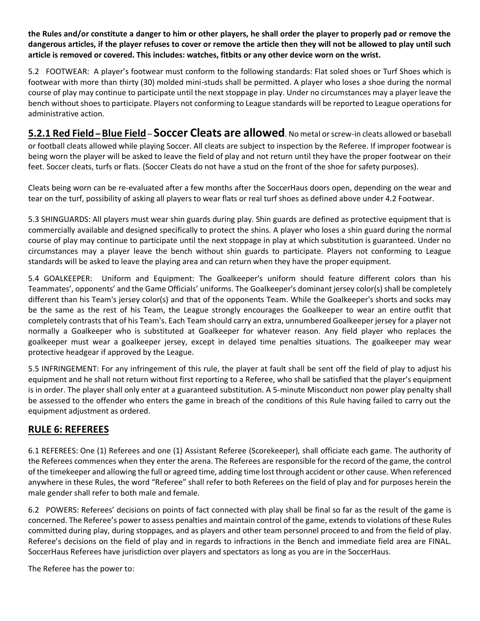**the Rules and/or constitute a danger to him or other players, he shall order the player to properly pad or remove the dangerous articles, if the player refuses to cover or remove the article then they will not be allowed to play until such article is removed or covered. This includes: watches, fitbits or any other device worn on the wrist.**

5.2 FOOTWEAR: A player's footwear must conform to the following standards: Flat soled shoes or Turf Shoes which is footwear with more than thirty (30) molded mini-studs shall be permitted. A player who loses a shoe during the normal course of play may continue to participate until the next stoppage in play. Under no circumstances may a player leave the bench without shoes to participate. Players not conforming to League standards will be reported to League operations for administrative action.

**5.2.1 Red Field –Blue Field** – **Soccer Cleats are allowed**. No metal or screw-in cleats allowed or baseball or football cleats allowed while playing Soccer. All cleats are subject to inspection by the Referee. If improper footwear is being worn the player will be asked to leave the field of play and not return until they have the proper footwear on their feet. Soccer cleats, turfs or flats. (Soccer Cleats do not have a stud on the front of the shoe for safety purposes).

Cleats being worn can be re-evaluated after a few months after the SoccerHaus doors open, depending on the wear and tear on the turf, possibility of asking all players to wear flats or real turf shoes as defined above under 4.2 Footwear.

5.3 SHINGUARDS: All players must wear shin guards during play. Shin guards are defined as protective equipment that is commercially available and designed specifically to protect the shins. A player who loses a shin guard during the normal course of play may continue to participate until the next stoppage in play at which substitution is guaranteed. Under no circumstances may a player leave the bench without shin guards to participate. Players not conforming to League standards will be asked to leave the playing area and can return when they have the proper equipment.

5.4 GOALKEEPER: Uniform and Equipment: The Goalkeeper's uniform should feature different colors than his Teammates', opponents' and the Game Officials' uniforms. The Goalkeeper's dominant jersey color(s) shall be completely different than his Team's jersey color(s) and that of the opponents Team. While the Goalkeeper's shorts and socks may be the same as the rest of his Team, the League strongly encourages the Goalkeeper to wear an entire outfit that completely contrasts that of his Team's. Each Team should carry an extra, unnumbered Goalkeeper jersey for a player not normally a Goalkeeper who is substituted at Goalkeeper for whatever reason. Any field player who replaces the goalkeeper must wear a goalkeeper jersey, except in delayed time penalties situations. The goalkeeper may wear protective headgear if approved by the League.

5.5 INFRINGEMENT: For any infringement of this rule, the player at fault shall be sent off the field of play to adjust his equipment and he shall not return without first reporting to a Referee, who shall be satisfied that the player's equipment is in order. The player shall only enter at a guaranteed substitution. A 5-minute Misconduct non power play penalty shall be assessed to the offender who enters the game in breach of the conditions of this Rule having failed to carry out the equipment adjustment as ordered.

## **RULE 6: REFEREES**

6.1 REFEREES: One (1) Referees and one (1) Assistant Referee (Scorekeeper), shall officiate each game. The authority of the Referees commences when they enter the arena. The Referees are responsible for the record of the game, the control of the timekeeper and allowing the full or agreed time, adding time lost through accident or other cause. When referenced anywhere in these Rules, the word "Referee" shall refer to both Referees on the field of play and for purposes herein the male gender shall refer to both male and female.

6.2 POWERS: Referees' decisions on points of fact connected with play shall be final so far as the result of the game is concerned. The Referee's power to assess penalties and maintain control of the game, extends to violations of these Rules committed during play, during stoppages, and as players and other team personnel proceed to and from the field of play. Referee's decisions on the field of play and in regards to infractions in the Bench and immediate field area are FINAL. SoccerHaus Referees have jurisdiction over players and spectators as long as you are in the SoccerHaus.

The Referee has the power to: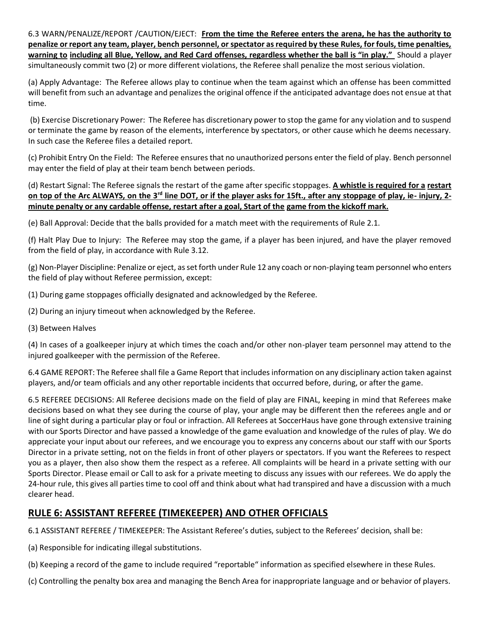6.3 WARN/PENALIZE/REPORT /CAUTION/EJECT: **From the time the Referee enters the arena, he has the authority to penalize or report any team, player, bench personnel, or spectator as required by these Rules, for fouls, time penalties, warning to including all Blue, Yellow, and Red Card offenses, regardless whether the ball is "in play."** Should a player simultaneously commit two (2) or more different violations, the Referee shall penalize the most serious violation.

(a) Apply Advantage: The Referee allows play to continue when the team against which an offense has been committed will benefit from such an advantage and penalizes the original offence if the anticipated advantage does not ensue at that time.

(b) Exercise Discretionary Power: The Referee has discretionary power to stop the game for any violation and to suspend or terminate the game by reason of the elements, interference by spectators, or other cause which he deems necessary. In such case the Referee files a detailed report.

(c) Prohibit Entry On the Field: The Referee ensures that no unauthorized persons enter the field of play. Bench personnel may enter the field of play at their team bench between periods.

(d) Restart Signal: The Referee signals the restart of the game after specific stoppages. **A whistle is required for a restart on top of the Arc ALWAYS, on the 3rd line DOT, or if the player asks for 15ft., after any stoppage of play, ie- injury, 2 minute penalty or any cardable offense, restart after a goal, Start of the game from the kickoff mark.** 

(e) Ball Approval: Decide that the balls provided for a match meet with the requirements of Rule 2.1.

(f) Halt Play Due to Injury: The Referee may stop the game, if a player has been injured, and have the player removed from the field of play, in accordance with Rule 3.12.

(g) Non-Player Discipline: Penalize or eject, as set forth under Rule 12 any coach or non-playing team personnel who enters the field of play without Referee permission, except:

(1) During game stoppages officially designated and acknowledged by the Referee.

(2) During an injury timeout when acknowledged by the Referee.

(3) Between Halves

(4) In cases of a goalkeeper injury at which times the coach and/or other non-player team personnel may attend to the injured goalkeeper with the permission of the Referee.

6.4 GAME REPORT: The Referee shall file a Game Report that includes information on any disciplinary action taken against players, and/or team officials and any other reportable incidents that occurred before, during, or after the game.

6.5 REFEREE DECISIONS: All Referee decisions made on the field of play are FINAL, keeping in mind that Referees make decisions based on what they see during the course of play, your angle may be different then the referees angle and or line of sight during a particular play or foul or infraction. All Referees at SoccerHaus have gone through extensive training with our Sports Director and have passed a knowledge of the game evaluation and knowledge of the rules of play. We do appreciate your input about our referees, and we encourage you to express any concerns about our staff with our Sports Director in a private setting, not on the fields in front of other players or spectators. If you want the Referees to respect you as a player, then also show them the respect as a referee. All complaints will be heard in a private setting with our Sports Director. Please email or Call to ask for a private meeting to discuss any issues with our referees. We do apply the 24-hour rule, this gives all parties time to cool off and think about what had transpired and have a discussion with a much clearer head.

## **RULE 6: ASSISTANT REFEREE (TIMEKEEPER) AND OTHER OFFICIALS**

6.1 ASSISTANT REFEREE / TIMEKEEPER: The Assistant Referee's duties, subject to the Referees' decision, shall be:

(a) Responsible for indicating illegal substitutions.

(b) Keeping a record of the game to include required "reportable" information as specified elsewhere in these Rules.

(c) Controlling the penalty box area and managing the Bench Area for inappropriate language and or behavior of players.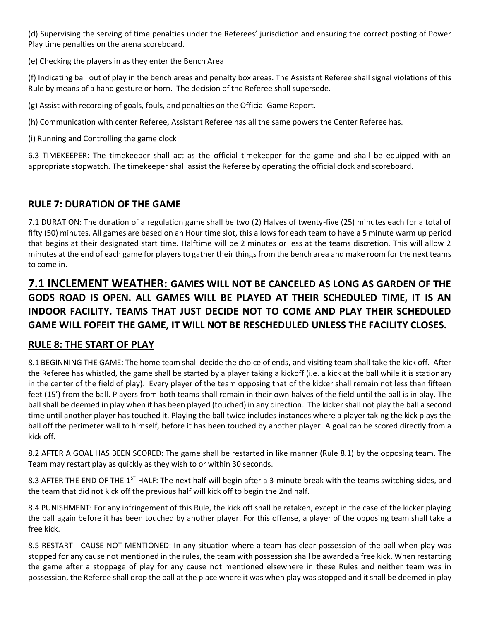(d) Supervising the serving of time penalties under the Referees' jurisdiction and ensuring the correct posting of Power Play time penalties on the arena scoreboard.

(e) Checking the players in as they enter the Bench Area

(f) Indicating ball out of play in the bench areas and penalty box areas. The Assistant Referee shall signal violations of this Rule by means of a hand gesture or horn. The decision of the Referee shall supersede.

(g) Assist with recording of goals, fouls, and penalties on the Official Game Report.

(h) Communication with center Referee, Assistant Referee has all the same powers the Center Referee has.

(i) Running and Controlling the game clock

6.3 TIMEKEEPER: The timekeeper shall act as the official timekeeper for the game and shall be equipped with an appropriate stopwatch. The timekeeper shall assist the Referee by operating the official clock and scoreboard.

#### **RULE 7: DURATION OF THE GAME**

7.1 DURATION: The duration of a regulation game shall be two (2) Halves of twenty-five (25) minutes each for a total of fifty (50) minutes. All games are based on an Hour time slot, this allows for each team to have a 5 minute warm up period that begins at their designated start time. Halftime will be 2 minutes or less at the teams discretion. This will allow 2 minutes at the end of each game for players to gather their things from the bench area and make room for the next teams to come in.

# **7.1 INCLEMENT WEATHER: GAMES WILL NOT BE CANCELED AS LONG AS GARDEN OF THE GODS ROAD IS OPEN. ALL GAMES WILL BE PLAYED AT THEIR SCHEDULED TIME, IT IS AN INDOOR FACILITY. TEAMS THAT JUST DECIDE NOT TO COME AND PLAY THEIR SCHEDULED GAME WILL FOFEIT THE GAME, IT WILL NOT BE RESCHEDULED UNLESS THE FACILITY CLOSES.**

## **RULE 8: THE START OF PLAY**

8.1 BEGINNING THE GAME: The home team shall decide the choice of ends, and visiting team shall take the kick off. After the Referee has whistled, the game shall be started by a player taking a kickoff (i.e. a kick at the ball while it is stationary in the center of the field of play). Every player of the team opposing that of the kicker shall remain not less than fifteen feet (15') from the ball. Players from both teams shall remain in their own halves of the field until the ball is in play. The ball shall be deemed in play when it has been played (touched) in any direction. The kicker shall not play the ball a second time until another player has touched it. Playing the ball twice includes instances where a player taking the kick plays the ball off the perimeter wall to himself, before it has been touched by another player. A goal can be scored directly from a kick off.

8.2 AFTER A GOAL HAS BEEN SCORED: The game shall be restarted in like manner (Rule 8.1) by the opposing team. The Team may restart play as quickly as they wish to or within 30 seconds.

8.3 AFTER THE END OF THE 1<sup>ST</sup> HALF: The next half will begin after a 3-minute break with the teams switching sides, and the team that did not kick off the previous half will kick off to begin the 2nd half.

8.4 PUNISHMENT: For any infringement of this Rule, the kick off shall be retaken, except in the case of the kicker playing the ball again before it has been touched by another player. For this offense, a player of the opposing team shall take a free kick.

8.5 RESTART - CAUSE NOT MENTIONED: In any situation where a team has clear possession of the ball when play was stopped for any cause not mentioned in the rules, the team with possession shall be awarded a free kick. When restarting the game after a stoppage of play for any cause not mentioned elsewhere in these Rules and neither team was in possession, the Referee shall drop the ball at the place where it was when play was stopped and it shall be deemed in play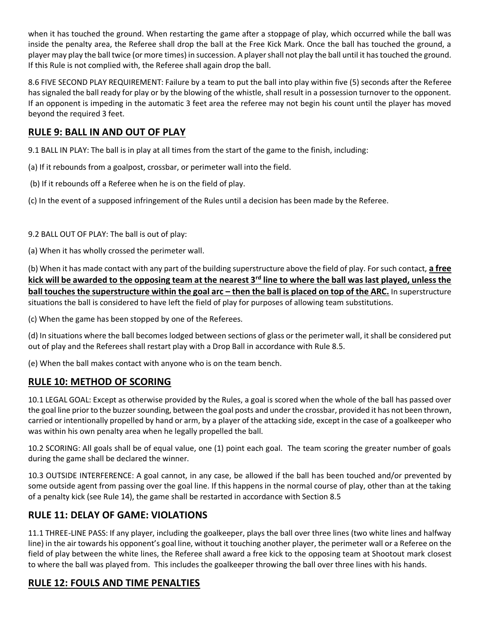when it has touched the ground. When restarting the game after a stoppage of play, which occurred while the ball was inside the penalty area, the Referee shall drop the ball at the Free Kick Mark. Once the ball has touched the ground, a player may play the ball twice (or more times) in succession. A player shall not play the ball until it has touched the ground. If this Rule is not complied with, the Referee shall again drop the ball.

8.6 FIVE SECOND PLAY REQUIREMENT: Failure by a team to put the ball into play within five (5) seconds after the Referee has signaled the ball ready for play or by the blowing of the whistle, shall result in a possession turnover to the opponent. If an opponent is impeding in the automatic 3 feet area the referee may not begin his count until the player has moved beyond the required 3 feet.

#### **RULE 9: BALL IN AND OUT OF PLAY**

9.1 BALL IN PLAY: The ball is in play at all times from the start of the game to the finish, including:

- (a) If it rebounds from a goalpost, crossbar, or perimeter wall into the field.
- (b) If it rebounds off a Referee when he is on the field of play.
- (c) In the event of a supposed infringement of the Rules until a decision has been made by the Referee.

9.2 BALL OUT OF PLAY: The ball is out of play:

(a) When it has wholly crossed the perimeter wall.

(b) When it has made contact with any part of the building superstructure above the field of play. For such contact, **a free kick will be awarded to the opposing team at the nearest 3rd line to where the ball was last played, unless the ball touches the superstructure within the goal arc – then the ball is placed on top of the ARC. In superstructure** situations the ball is considered to have left the field of play for purposes of allowing team substitutions.

(c) When the game has been stopped by one of the Referees.

(d) In situations where the ball becomes lodged between sections of glass or the perimeter wall, it shall be considered put out of play and the Referees shall restart play with a Drop Ball in accordance with Rule 8.5.

(e) When the ball makes contact with anyone who is on the team bench.

#### **RULE 10: METHOD OF SCORING**

10.1 LEGAL GOAL: Except as otherwise provided by the Rules, a goal is scored when the whole of the ball has passed over the goal line prior to the buzzer sounding, between the goal posts and under the crossbar, provided it has not been thrown, carried or intentionally propelled by hand or arm, by a player of the attacking side, except in the case of a goalkeeper who was within his own penalty area when he legally propelled the ball.

10.2 SCORING: All goals shall be of equal value, one (1) point each goal. The team scoring the greater number of goals during the game shall be declared the winner.

10.3 OUTSIDE INTERFERENCE: A goal cannot, in any case, be allowed if the ball has been touched and/or prevented by some outside agent from passing over the goal line. If this happens in the normal course of play, other than at the taking of a penalty kick (see Rule 14), the game shall be restarted in accordance with Section 8.5

#### **RULE 11: DELAY OF GAME: VIOLATIONS**

11.1 THREE-LINE PASS: If any player, including the goalkeeper, plays the ball over three lines (two white lines and halfway line) in the air towards his opponent's goal line, without it touching another player, the perimeter wall or a Referee on the field of play between the white lines, the Referee shall award a free kick to the opposing team at Shootout mark closest to where the ball was played from. This includes the goalkeeper throwing the ball over three lines with his hands.

#### **RULE 12: FOULS AND TIME PENALTIES**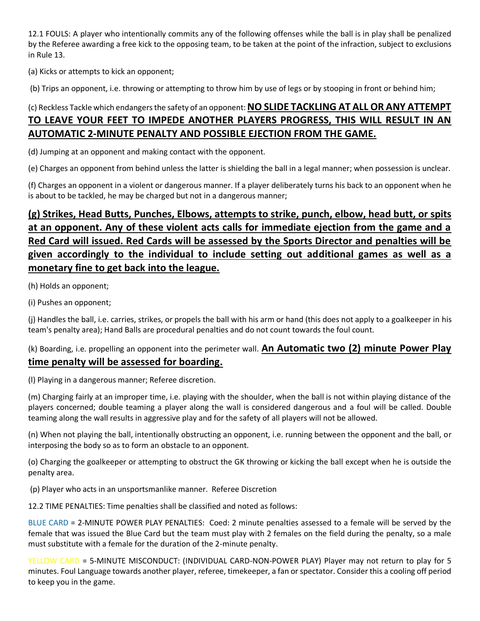12.1 FOULS: A player who intentionally commits any of the following offenses while the ball is in play shall be penalized by the Referee awarding a free kick to the opposing team, to be taken at the point of the infraction, subject to exclusions in Rule 13.

(a) Kicks or attempts to kick an opponent;

(b) Trips an opponent, i.e. throwing or attempting to throw him by use of legs or by stooping in front or behind him;

## (c) Reckless Tackle which endangers the safety of an opponent: **NO SLIDE TACKLING AT ALL OR ANY ATTEMPT TO LEAVE YOUR FEET TO IMPEDE ANOTHER PLAYERS PROGRESS, THIS WILL RESULT IN AN AUTOMATIC 2-MINUTE PENALTY AND POSSIBLE EJECTION FROM THE GAME.**

(d) Jumping at an opponent and making contact with the opponent.

(e) Charges an opponent from behind unless the latter is shielding the ball in a legal manner; when possession is unclear.

(f) Charges an opponent in a violent or dangerous manner. If a player deliberately turns his back to an opponent when he is about to be tackled, he may be charged but not in a dangerous manner;

## **(g) Strikes, Head Butts, Punches, Elbows, attempts to strike, punch, elbow, head butt, or spits at an opponent. Any of these violent acts calls for immediate ejection from the game and a Red Card will issued. Red Cards will be assessed by the Sports Director and penalties will be given accordingly to the individual to include setting out additional games as well as a monetary fine to get back into the league.**

(h) Holds an opponent;

(i) Pushes an opponent;

(j) Handles the ball, i.e. carries, strikes, or propels the ball with his arm or hand (this does not apply to a goalkeeper in his team's penalty area); Hand Balls are procedural penalties and do not count towards the foul count.

#### (k) Boarding, i.e. propelling an opponent into the perimeter wall. **An Automatic two (2) minute Power Play time penalty will be assessed for boarding.**

(l) Playing in a dangerous manner; Referee discretion.

(m) Charging fairly at an improper time, i.e. playing with the shoulder, when the ball is not within playing distance of the players concerned; double teaming a player along the wall is considered dangerous and a foul will be called. Double teaming along the wall results in aggressive play and for the safety of all players will not be allowed.

(n) When not playing the ball, intentionally obstructing an opponent, i.e. running between the opponent and the ball, or interposing the body so as to form an obstacle to an opponent.

(o) Charging the goalkeeper or attempting to obstruct the GK throwing or kicking the ball except when he is outside the penalty area.

(p) Player who acts in an unsportsmanlike manner. Referee Discretion

12.2 TIME PENALTIES: Time penalties shall be classified and noted as follows:

BLUE CARD = 2-MINUTE POWER PLAY PENALTIES: Coed: 2 minute penalties assessed to a female will be served by the female that was issued the Blue Card but the team must play with 2 females on the field during the penalty, so a male must substitute with a female for the duration of the 2-minute penalty.

YELLOW CARD = 5-MINUTE MISCONDUCT: (INDIVIDUAL CARD-NON-POWER PLAY) Player may not return to play for 5 minutes. Foul Language towards another player, referee, timekeeper, a fan or spectator. Consider this a cooling off period to keep you in the game.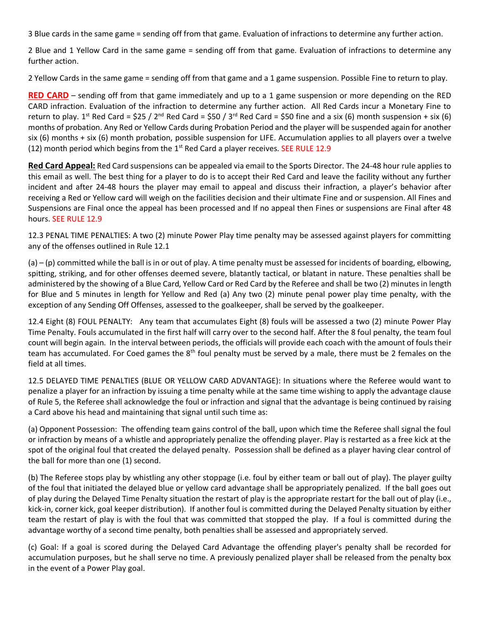3 Blue cards in the same game = sending off from that game. Evaluation of infractions to determine any further action.

2 Blue and 1 Yellow Card in the same game = sending off from that game. Evaluation of infractions to determine any further action.

2 Yellow Cards in the same game = sending off from that game and a 1 game suspension. Possible Fine to return to play.

**RED CARD** – sending off from that game immediately and up to a 1 game suspension or more depending on the RED CARD infraction. Evaluation of the infraction to determine any further action. All Red Cards incur a Monetary Fine to return to play. 1<sup>st</sup> Red Card = \$25 / 2<sup>nd</sup> Red Card = \$50 / 3<sup>rd</sup> Red Card = \$50 fine and a six (6) month suspension + six (6) months of probation. Any Red or Yellow Cards during Probation Period and the player will be suspended again for another six (6) months + six (6) month probation, possible suspension for LIFE. Accumulation applies to all players over a twelve (12) month period which begins from the  $1<sup>st</sup>$  Red Card a player receives. SEE RULE 12.9

**Red Card Appeal:** Red Card suspensions can be appealed via email to the Sports Director. The 24-48 hour rule applies to this email as well. The best thing for a player to do is to accept their Red Card and leave the facility without any further incident and after 24-48 hours the player may email to appeal and discuss their infraction, a player's behavior after receiving a Red or Yellow card will weigh on the facilities decision and their ultimate Fine and or suspension. All Fines and Suspensions are Final once the appeal has been processed and If no appeal then Fines or suspensions are Final after 48 hours. SEE RULE 12.9

12.3 PENAL TIME PENALTIES: A two (2) minute Power Play time penalty may be assessed against players for committing any of the offenses outlined in Rule 12.1

(a) – (p) committed while the ball is in or out of play. A time penalty must be assessed for incidents of boarding, elbowing, spitting, striking, and for other offenses deemed severe, blatantly tactical, or blatant in nature. These penalties shall be administered by the showing of a Blue Card, Yellow Card or Red Card by the Referee and shall be two (2) minutes in length for Blue and 5 minutes in length for Yellow and Red (a) Any two (2) minute penal power play time penalty, with the exception of any Sending Off Offenses, assessed to the goalkeeper, shall be served by the goalkeeper.

12.4 Eight (8) FOUL PENALTY: Any team that accumulates Eight (8) fouls will be assessed a two (2) minute Power Play Time Penalty. Fouls accumulated in the first half will carry over to the second half. After the 8 foul penalty, the team foul count will begin again. In the interval between periods, the officials will provide each coach with the amount of fouls their team has accumulated. For Coed games the 8<sup>th</sup> foul penalty must be served by a male, there must be 2 females on the field at all times.

12.5 DELAYED TIME PENALTIES (BLUE OR YELLOW CARD ADVANTAGE): In situations where the Referee would want to penalize a player for an infraction by issuing a time penalty while at the same time wishing to apply the advantage clause of Rule 5, the Referee shall acknowledge the foul or infraction and signal that the advantage is being continued by raising a Card above his head and maintaining that signal until such time as:

(a) Opponent Possession: The offending team gains control of the ball, upon which time the Referee shall signal the foul or infraction by means of a whistle and appropriately penalize the offending player. Play is restarted as a free kick at the spot of the original foul that created the delayed penalty. Possession shall be defined as a player having clear control of the ball for more than one (1) second.

(b) The Referee stops play by whistling any other stoppage (i.e. foul by either team or ball out of play). The player guilty of the foul that initiated the delayed blue or yellow card advantage shall be appropriately penalized. If the ball goes out of play during the Delayed Time Penalty situation the restart of play is the appropriate restart for the ball out of play (i.e., kick-in, corner kick, goal keeper distribution). If another foul is committed during the Delayed Penalty situation by either team the restart of play is with the foul that was committed that stopped the play. If a foul is committed during the advantage worthy of a second time penalty, both penalties shall be assessed and appropriately served.

(c) Goal: If a goal is scored during the Delayed Card Advantage the offending player's penalty shall be recorded for accumulation purposes, but he shall serve no time. A previously penalized player shall be released from the penalty box in the event of a Power Play goal.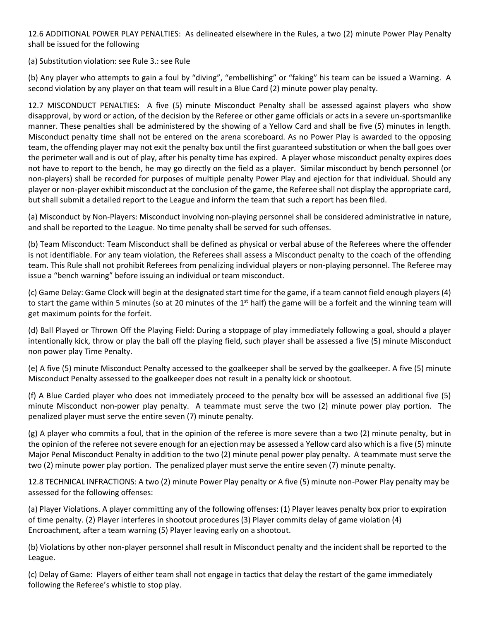12.6 ADDITIONAL POWER PLAY PENALTIES: As delineated elsewhere in the Rules, a two (2) minute Power Play Penalty shall be issued for the following

(a) Substitution violation: see Rule 3.: see Rule

(b) Any player who attempts to gain a foul by "diving", "embellishing" or "faking" his team can be issued a Warning. A second violation by any player on that team will result in a Blue Card (2) minute power play penalty.

12.7 MISCONDUCT PENALTIES: A five (5) minute Misconduct Penalty shall be assessed against players who show disapproval, by word or action, of the decision by the Referee or other game officials or acts in a severe un-sportsmanlike manner. These penalties shall be administered by the showing of a Yellow Card and shall be five (5) minutes in length. Misconduct penalty time shall not be entered on the arena scoreboard. As no Power Play is awarded to the opposing team, the offending player may not exit the penalty box until the first guaranteed substitution or when the ball goes over the perimeter wall and is out of play, after his penalty time has expired. A player whose misconduct penalty expires does not have to report to the bench, he may go directly on the field as a player. Similar misconduct by bench personnel (or non-players) shall be recorded for purposes of multiple penalty Power Play and ejection for that individual. Should any player or non-player exhibit misconduct at the conclusion of the game, the Referee shall not display the appropriate card, but shall submit a detailed report to the League and inform the team that such a report has been filed.

(a) Misconduct by Non-Players: Misconduct involving non-playing personnel shall be considered administrative in nature, and shall be reported to the League. No time penalty shall be served for such offenses.

(b) Team Misconduct: Team Misconduct shall be defined as physical or verbal abuse of the Referees where the offender is not identifiable. For any team violation, the Referees shall assess a Misconduct penalty to the coach of the offending team. This Rule shall not prohibit Referees from penalizing individual players or non-playing personnel. The Referee may issue a "bench warning" before issuing an individual or team misconduct.

(c) Game Delay: Game Clock will begin at the designated start time for the game, if a team cannot field enough players (4) to start the game within 5 minutes (so at 20 minutes of the  $1<sup>st</sup>$  half) the game will be a forfeit and the winning team will get maximum points for the forfeit.

(d) Ball Played or Thrown Off the Playing Field: During a stoppage of play immediately following a goal, should a player intentionally kick, throw or play the ball off the playing field, such player shall be assessed a five (5) minute Misconduct non power play Time Penalty.

(e) A five (5) minute Misconduct Penalty accessed to the goalkeeper shall be served by the goalkeeper. A five (5) minute Misconduct Penalty assessed to the goalkeeper does not result in a penalty kick or shootout.

(f) A Blue Carded player who does not immediately proceed to the penalty box will be assessed an additional five (5) minute Misconduct non-power play penalty. A teammate must serve the two (2) minute power play portion. The penalized player must serve the entire seven (7) minute penalty.

(g) A player who commits a foul, that in the opinion of the referee is more severe than a two (2) minute penalty, but in the opinion of the referee not severe enough for an ejection may be assessed a Yellow card also which is a five (5) minute Major Penal Misconduct Penalty in addition to the two (2) minute penal power play penalty. A teammate must serve the two (2) minute power play portion. The penalized player must serve the entire seven (7) minute penalty.

12.8 TECHNICAL INFRACTIONS: A two (2) minute Power Play penalty or A five (5) minute non-Power Play penalty may be assessed for the following offenses:

(a) Player Violations. A player committing any of the following offenses: (1) Player leaves penalty box prior to expiration of time penalty. (2) Player interferes in shootout procedures (3) Player commits delay of game violation (4) Encroachment, after a team warning (5) Player leaving early on a shootout.

(b) Violations by other non-player personnel shall result in Misconduct penalty and the incident shall be reported to the League.

(c) Delay of Game: Players of either team shall not engage in tactics that delay the restart of the game immediately following the Referee's whistle to stop play.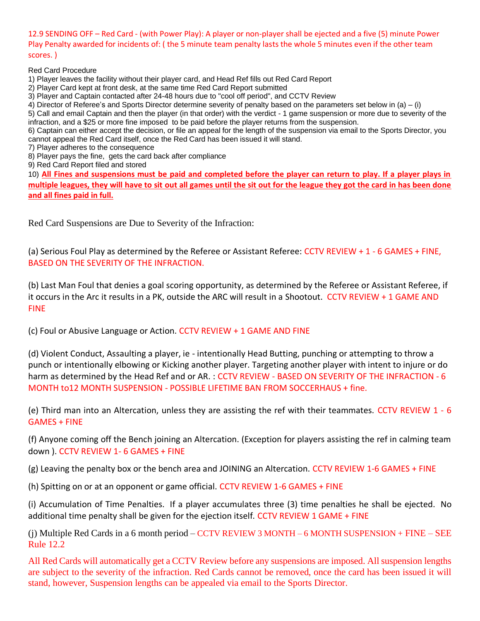12.9 SENDING OFF – Red Card - (with Power Play): A player or non-player shall be ejected and a five (5) minute Power Play Penalty awarded for incidents of: ( the 5 minute team penalty lasts the whole 5 minutes even if the other team scores. )

Red Card Procedure

- 1) Player leaves the facility without their player card, and Head Ref fills out Red Card Report
- 2) Player Card kept at front desk, at the same time Red Card Report submitted
- 3) Player and Captain contacted after 24-48 hours due to "cool off period", and CCTV Review

4) Director of Referee's and Sports Director determine severity of penalty based on the parameters set below in (a) – (i)

5) Call and email Captain and then the player (in that order) with the verdict - 1 game suspension or more due to severity of the infraction, and a \$25 or more fine imposed to be paid before the player returns from the suspension.

6) Captain can either accept the decision, or file an appeal for the length of the suspension via email to the Sports Director, you cannot appeal the Red Card itself, once the Red Card has been issued it will stand.

- 7) Player adheres to the consequence
- 8) Player pays the fine, gets the card back after compliance
- 9) Red Card Report filed and stored

10) **All Fines and suspensions must be paid and completed before the player can return to play. If a player plays in multiple leagues, they will have to sit out all games until the sit out for the league they got the card in has been done and all fines paid in full.**

Red Card Suspensions are Due to Severity of the Infraction:

(a) Serious Foul Play as determined by the Referee or Assistant Referee: CCTV REVIEW + 1 - 6 GAMES + FINE, BASED ON THE SEVERITY OF THE INFRACTION.

(b) Last Man Foul that denies a goal scoring opportunity, as determined by the Referee or Assistant Referee, if it occurs in the Arc it results in a PK, outside the ARC will result in a Shootout. CCTV REVIEW + 1 GAME AND FINE

(c) Foul or Abusive Language or Action. CCTV REVIEW + 1 GAME AND FINE

(d) Violent Conduct, Assaulting a player, ie - intentionally Head Butting, punching or attempting to throw a punch or intentionally elbowing or Kicking another player. Targeting another player with intent to injure or do harm as determined by the Head Ref and or AR. : CCTV REVIEW - BASED ON SEVERITY OF THE INFRACTION - 6 MONTH to12 MONTH SUSPENSION - POSSIBLE LIFETIME BAN FROM SOCCERHAUS + fine.

(e) Third man into an Altercation, unless they are assisting the ref with their teammates. CCTV REVIEW 1 - 6 GAMES + FINE

(f) Anyone coming off the Bench joining an Altercation. (Exception for players assisting the ref in calming team down ). CCTV REVIEW 1- 6 GAMES + FINE

(g) Leaving the penalty box or the bench area and JOINING an Altercation. CCTV REVIEW 1-6 GAMES + FINE

(h) Spitting on or at an opponent or game official. CCTV REVIEW 1-6 GAMES + FINE

(i) Accumulation of Time Penalties. If a player accumulates three (3) time penalties he shall be ejected. No additional time penalty shall be given for the ejection itself. CCTV REVIEW 1 GAME + FINE

(j) Multiple Red Cards in a 6 month period – CCTV REVIEW 3 MONTH – 6 MONTH SUSPENSION + FINE – SEE Rule 12.2

All Red Cards will automatically get a CCTV Review before any suspensions are imposed. All suspension lengths are subject to the severity of the infraction. Red Cards cannot be removed, once the card has been issued it will stand, however, Suspension lengths can be appealed via email to the Sports Director.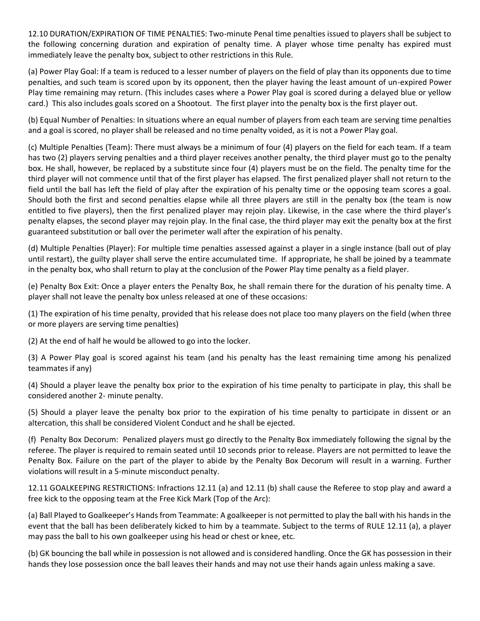12.10 DURATION/EXPIRATION OF TIME PENALTIES: Two-minute Penal time penalties issued to players shall be subject to the following concerning duration and expiration of penalty time. A player whose time penalty has expired must immediately leave the penalty box, subject to other restrictions in this Rule.

(a) Power Play Goal: If a team is reduced to a lesser number of players on the field of play than its opponents due to time penalties, and such team is scored upon by its opponent, then the player having the least amount of un-expired Power Play time remaining may return. (This includes cases where a Power Play goal is scored during a delayed blue or yellow card.) This also includes goals scored on a Shootout. The first player into the penalty box is the first player out.

(b) Equal Number of Penalties: In situations where an equal number of players from each team are serving time penalties and a goal is scored, no player shall be released and no time penalty voided, as it is not a Power Play goal.

(c) Multiple Penalties (Team): There must always be a minimum of four (4) players on the field for each team. If a team has two (2) players serving penalties and a third player receives another penalty, the third player must go to the penalty box. He shall, however, be replaced by a substitute since four (4) players must be on the field. The penalty time for the third player will not commence until that of the first player has elapsed. The first penalized player shall not return to the field until the ball has left the field of play after the expiration of his penalty time or the opposing team scores a goal. Should both the first and second penalties elapse while all three players are still in the penalty box (the team is now entitled to five players), then the first penalized player may rejoin play. Likewise, in the case where the third player's penalty elapses, the second player may rejoin play. In the final case, the third player may exit the penalty box at the first guaranteed substitution or ball over the perimeter wall after the expiration of his penalty.

(d) Multiple Penalties (Player): For multiple time penalties assessed against a player in a single instance (ball out of play until restart), the guilty player shall serve the entire accumulated time. If appropriate, he shall be joined by a teammate in the penalty box, who shall return to play at the conclusion of the Power Play time penalty as a field player.

(e) Penalty Box Exit: Once a player enters the Penalty Box, he shall remain there for the duration of his penalty time. A player shall not leave the penalty box unless released at one of these occasions:

(1) The expiration of his time penalty, provided that his release does not place too many players on the field (when three or more players are serving time penalties)

(2) At the end of half he would be allowed to go into the locker.

(3) A Power Play goal is scored against his team (and his penalty has the least remaining time among his penalized teammates if any)

(4) Should a player leave the penalty box prior to the expiration of his time penalty to participate in play, this shall be considered another 2- minute penalty.

(5) Should a player leave the penalty box prior to the expiration of his time penalty to participate in dissent or an altercation, this shall be considered Violent Conduct and he shall be ejected.

(f) Penalty Box Decorum: Penalized players must go directly to the Penalty Box immediately following the signal by the referee. The player is required to remain seated until 10 seconds prior to release. Players are not permitted to leave the Penalty Box. Failure on the part of the player to abide by the Penalty Box Decorum will result in a warning. Further violations will result in a 5-minute misconduct penalty.

12.11 GOALKEEPING RESTRICTIONS: Infractions 12.11 (a) and 12.11 (b) shall cause the Referee to stop play and award a free kick to the opposing team at the Free Kick Mark (Top of the Arc):

(a) Ball Played to Goalkeeper's Hands from Teammate: A goalkeeper is not permitted to play the ball with his hands in the event that the ball has been deliberately kicked to him by a teammate. Subject to the terms of RULE 12.11 (a), a player may pass the ball to his own goalkeeper using his head or chest or knee, etc.

(b) GK bouncing the ball while in possession is not allowed and is considered handling. Once the GK has possession in their hands they lose possession once the ball leaves their hands and may not use their hands again unless making a save.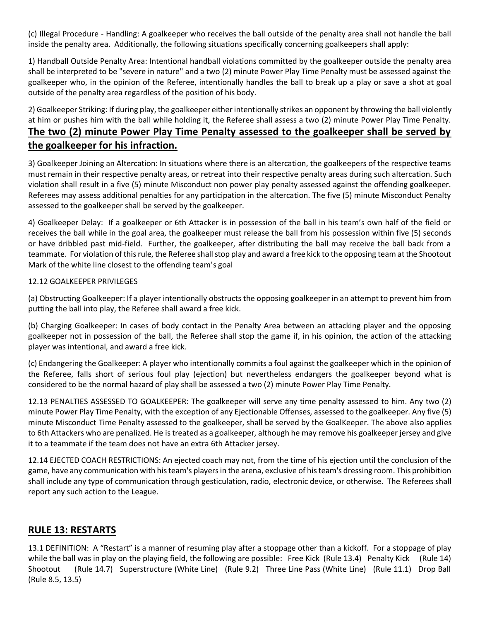(c) Illegal Procedure - Handling: A goalkeeper who receives the ball outside of the penalty area shall not handle the ball inside the penalty area. Additionally, the following situations specifically concerning goalkeepers shall apply:

1) Handball Outside Penalty Area: Intentional handball violations committed by the goalkeeper outside the penalty area shall be interpreted to be "severe in nature" and a two (2) minute Power Play Time Penalty must be assessed against the goalkeeper who, in the opinion of the Referee, intentionally handles the ball to break up a play or save a shot at goal outside of the penalty area regardless of the position of his body.

2) Goalkeeper Striking: If during play, the goalkeeper either intentionally strikes an opponent by throwing the ball violently at him or pushes him with the ball while holding it, the Referee shall assess a two (2) minute Power Play Time Penalty. **The two (2) minute Power Play Time Penalty assessed to the goalkeeper shall be served by the goalkeeper for his infraction.**

3) Goalkeeper Joining an Altercation: In situations where there is an altercation, the goalkeepers of the respective teams must remain in their respective penalty areas, or retreat into their respective penalty areas during such altercation. Such violation shall result in a five (5) minute Misconduct non power play penalty assessed against the offending goalkeeper. Referees may assess additional penalties for any participation in the altercation. The five (5) minute Misconduct Penalty assessed to the goalkeeper shall be served by the goalkeeper.

4) Goalkeeper Delay: If a goalkeeper or 6th Attacker is in possession of the ball in his team's own half of the field or receives the ball while in the goal area, the goalkeeper must release the ball from his possession within five (5) seconds or have dribbled past mid-field. Further, the goalkeeper, after distributing the ball may receive the ball back from a teammate. For violation of this rule, the Referee shall stop play and award a free kick to the opposing team at the Shootout Mark of the white line closest to the offending team's goal

#### 12.12 GOALKEEPER PRIVILEGES

(a) Obstructing Goalkeeper: If a player intentionally obstructs the opposing goalkeeper in an attempt to prevent him from putting the ball into play, the Referee shall award a free kick.

(b) Charging Goalkeeper: In cases of body contact in the Penalty Area between an attacking player and the opposing goalkeeper not in possession of the ball, the Referee shall stop the game if, in his opinion, the action of the attacking player was intentional, and award a free kick.

(c) Endangering the Goalkeeper: A player who intentionally commits a foul against the goalkeeper which in the opinion of the Referee, falls short of serious foul play (ejection) but nevertheless endangers the goalkeeper beyond what is considered to be the normal hazard of play shall be assessed a two (2) minute Power Play Time Penalty.

12.13 PENALTIES ASSESSED TO GOALKEEPER: The goalkeeper will serve any time penalty assessed to him. Any two (2) minute Power Play Time Penalty, with the exception of any Ejectionable Offenses, assessed to the goalkeeper. Any five (5) minute Misconduct Time Penalty assessed to the goalkeeper, shall be served by the GoalKeeper. The above also applies to 6th Attackers who are penalized. He is treated as a goalkeeper, although he may remove his goalkeeper jersey and give it to a teammate if the team does not have an extra 6th Attacker jersey.

12.14 EJECTED COACH RESTRICTIONS: An ejected coach may not, from the time of his ejection until the conclusion of the game, have any communication with his team's players in the arena, exclusive of his team's dressing room. This prohibition shall include any type of communication through gesticulation, radio, electronic device, or otherwise. The Referees shall report any such action to the League.

#### **RULE 13: RESTARTS**

13.1 DEFINITION: A "Restart" is a manner of resuming play after a stoppage other than a kickoff. For a stoppage of play while the ball was in play on the playing field, the following are possible: Free Kick (Rule 13.4) Penalty Kick (Rule 14) Shootout (Rule 14.7) Superstructure (White Line) (Rule 9.2) Three Line Pass (White Line) (Rule 11.1) Drop Ball (Rule 8.5, 13.5)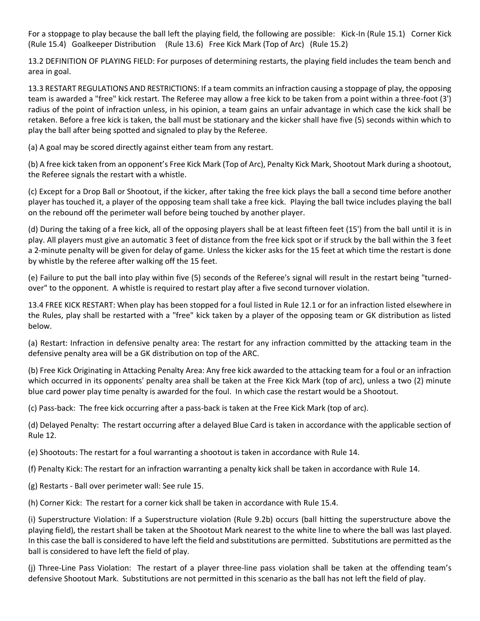For a stoppage to play because the ball left the playing field, the following are possible: Kick-In (Rule 15.1) Corner Kick (Rule 15.4) Goalkeeper Distribution (Rule 13.6) Free Kick Mark (Top of Arc) (Rule 15.2)

13.2 DEFINITION OF PLAYING FIELD: For purposes of determining restarts, the playing field includes the team bench and area in goal.

13.3 RESTART REGULATIONS AND RESTRICTIONS: If a team commits an infraction causing a stoppage of play, the opposing team is awarded a "free" kick restart. The Referee may allow a free kick to be taken from a point within a three-foot (3') radius of the point of infraction unless, in his opinion, a team gains an unfair advantage in which case the kick shall be retaken. Before a free kick is taken, the ball must be stationary and the kicker shall have five (5) seconds within which to play the ball after being spotted and signaled to play by the Referee.

(a) A goal may be scored directly against either team from any restart.

(b) A free kick taken from an opponent's Free Kick Mark (Top of Arc), Penalty Kick Mark, Shootout Mark during a shootout, the Referee signals the restart with a whistle.

(c) Except for a Drop Ball or Shootout, if the kicker, after taking the free kick plays the ball a second time before another player has touched it, a player of the opposing team shall take a free kick. Playing the ball twice includes playing the ball on the rebound off the perimeter wall before being touched by another player.

(d) During the taking of a free kick, all of the opposing players shall be at least fifteen feet (15') from the ball until it is in play. All players must give an automatic 3 feet of distance from the free kick spot or if struck by the ball within the 3 feet a 2-minute penalty will be given for delay of game. Unless the kicker asks for the 15 feet at which time the restart is done by whistle by the referee after walking off the 15 feet.

(e) Failure to put the ball into play within five (5) seconds of the Referee's signal will result in the restart being "turnedover" to the opponent. A whistle is required to restart play after a five second turnover violation.

13.4 FREE KICK RESTART: When play has been stopped for a foul listed in Rule 12.1 or for an infraction listed elsewhere in the Rules, play shall be restarted with a "free" kick taken by a player of the opposing team or GK distribution as listed below.

(a) Restart: Infraction in defensive penalty area: The restart for any infraction committed by the attacking team in the defensive penalty area will be a GK distribution on top of the ARC.

(b) Free Kick Originating in Attacking Penalty Area: Any free kick awarded to the attacking team for a foul or an infraction which occurred in its opponents' penalty area shall be taken at the Free Kick Mark (top of arc), unless a two (2) minute blue card power play time penalty is awarded for the foul. In which case the restart would be a Shootout.

(c) Pass-back: The free kick occurring after a pass-back is taken at the Free Kick Mark (top of arc).

(d) Delayed Penalty: The restart occurring after a delayed Blue Card is taken in accordance with the applicable section of Rule 12.

(e) Shootouts: The restart for a foul warranting a shootout is taken in accordance with Rule 14.

(f) Penalty Kick: The restart for an infraction warranting a penalty kick shall be taken in accordance with Rule 14.

(g) Restarts - Ball over perimeter wall: See rule 15.

(h) Corner Kick: The restart for a corner kick shall be taken in accordance with Rule 15.4.

(i) Superstructure Violation: If a Superstructure violation (Rule 9.2b) occurs (ball hitting the superstructure above the playing field), the restart shall be taken at the Shootout Mark nearest to the white line to where the ball was last played. In this case the ball is considered to have left the field and substitutions are permitted. Substitutions are permitted as the ball is considered to have left the field of play.

(j) Three-Line Pass Violation: The restart of a player three-line pass violation shall be taken at the offending team's defensive Shootout Mark. Substitutions are not permitted in this scenario as the ball has not left the field of play.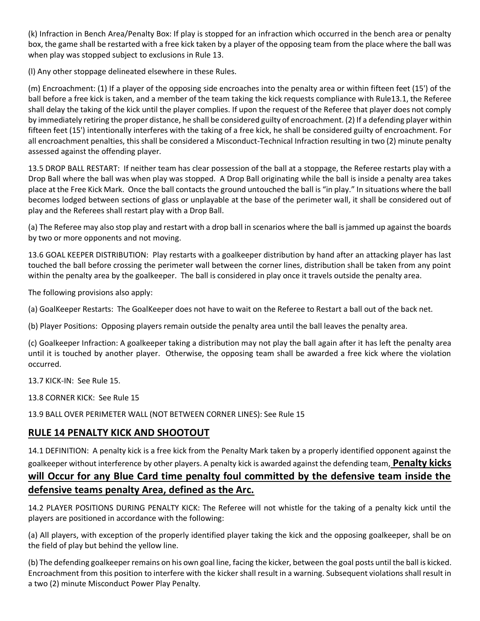(k) Infraction in Bench Area/Penalty Box: If play is stopped for an infraction which occurred in the bench area or penalty box, the game shall be restarted with a free kick taken by a player of the opposing team from the place where the ball was when play was stopped subject to exclusions in Rule 13.

(l) Any other stoppage delineated elsewhere in these Rules.

(m) Encroachment: (1) If a player of the opposing side encroaches into the penalty area or within fifteen feet (15') of the ball before a free kick is taken, and a member of the team taking the kick requests compliance with Rule13.1, the Referee shall delay the taking of the kick until the player complies. If upon the request of the Referee that player does not comply by immediately retiring the proper distance, he shall be considered guilty of encroachment. (2) If a defending player within fifteen feet (15') intentionally interferes with the taking of a free kick, he shall be considered guilty of encroachment. For all encroachment penalties, this shall be considered a Misconduct-Technical Infraction resulting in two (2) minute penalty assessed against the offending player.

13.5 DROP BALL RESTART: If neither team has clear possession of the ball at a stoppage, the Referee restarts play with a Drop Ball where the ball was when play was stopped. A Drop Ball originating while the ball is inside a penalty area takes place at the Free Kick Mark. Once the ball contacts the ground untouched the ball is "in play." In situations where the ball becomes lodged between sections of glass or unplayable at the base of the perimeter wall, it shall be considered out of play and the Referees shall restart play with a Drop Ball.

(a) The Referee may also stop play and restart with a drop ball in scenarios where the ball is jammed up against the boards by two or more opponents and not moving.

13.6 GOAL KEEPER DISTRIBUTION: Play restarts with a goalkeeper distribution by hand after an attacking player has last touched the ball before crossing the perimeter wall between the corner lines, distribution shall be taken from any point within the penalty area by the goalkeeper. The ball is considered in play once it travels outside the penalty area.

The following provisions also apply:

(a) GoalKeeper Restarts: The GoalKeeper does not have to wait on the Referee to Restart a ball out of the back net.

(b) Player Positions: Opposing players remain outside the penalty area until the ball leaves the penalty area.

(c) Goalkeeper Infraction: A goalkeeper taking a distribution may not play the ball again after it has left the penalty area until it is touched by another player. Otherwise, the opposing team shall be awarded a free kick where the violation occurred.

13.7 KICK-IN: See Rule 15.

13.8 CORNER KICK: See Rule 15

13.9 BALL OVER PERIMETER WALL (NOT BETWEEN CORNER LINES): See Rule 15

#### **RULE 14 PENALTY KICK AND SHOOTOUT**

14.1 DEFINITION: A penalty kick is a free kick from the Penalty Mark taken by a properly identified opponent against the goalkeeper without interference by other players. A penalty kick is awarded against the defending team, **Penalty kicks will Occur for any Blue Card time penalty foul committed by the defensive team inside the defensive teams penalty Area, defined as the Arc.**

14.2 PLAYER POSITIONS DURING PENALTY KICK: The Referee will not whistle for the taking of a penalty kick until the players are positioned in accordance with the following:

(a) All players, with exception of the properly identified player taking the kick and the opposing goalkeeper, shall be on the field of play but behind the yellow line.

(b) The defending goalkeeper remains on his own goal line, facing the kicker, between the goal posts until the ball is kicked. Encroachment from this position to interfere with the kicker shall result in a warning. Subsequent violations shall result in a two (2) minute Misconduct Power Play Penalty.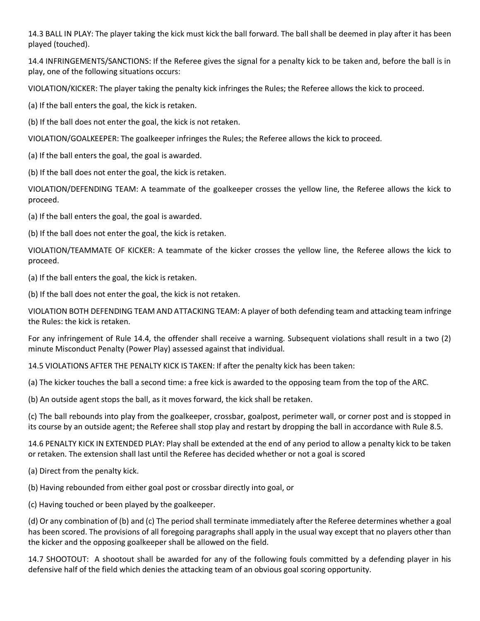14.3 BALL IN PLAY: The player taking the kick must kick the ball forward. The ball shall be deemed in play after it has been played (touched).

14.4 INFRINGEMENTS/SANCTIONS: If the Referee gives the signal for a penalty kick to be taken and, before the ball is in play, one of the following situations occurs:

VIOLATION/KICKER: The player taking the penalty kick infringes the Rules; the Referee allows the kick to proceed.

(a) If the ball enters the goal, the kick is retaken.

(b) If the ball does not enter the goal, the kick is not retaken.

VIOLATION/GOALKEEPER: The goalkeeper infringes the Rules; the Referee allows the kick to proceed.

(a) If the ball enters the goal, the goal is awarded.

(b) If the ball does not enter the goal, the kick is retaken.

VIOLATION/DEFENDING TEAM: A teammate of the goalkeeper crosses the yellow line, the Referee allows the kick to proceed.

(a) If the ball enters the goal, the goal is awarded.

(b) If the ball does not enter the goal, the kick is retaken.

VIOLATION/TEAMMATE OF KICKER: A teammate of the kicker crosses the yellow line, the Referee allows the kick to proceed.

(a) If the ball enters the goal, the kick is retaken.

(b) If the ball does not enter the goal, the kick is not retaken.

VIOLATION BOTH DEFENDING TEAM AND ATTACKING TEAM: A player of both defending team and attacking team infringe the Rules: the kick is retaken.

For any infringement of Rule 14.4, the offender shall receive a warning. Subsequent violations shall result in a two (2) minute Misconduct Penalty (Power Play) assessed against that individual.

14.5 VIOLATIONS AFTER THE PENALTY KICK IS TAKEN: If after the penalty kick has been taken:

(a) The kicker touches the ball a second time: a free kick is awarded to the opposing team from the top of the ARC.

(b) An outside agent stops the ball, as it moves forward, the kick shall be retaken.

(c) The ball rebounds into play from the goalkeeper, crossbar, goalpost, perimeter wall, or corner post and is stopped in its course by an outside agent; the Referee shall stop play and restart by dropping the ball in accordance with Rule 8.5.

14.6 PENALTY KICK IN EXTENDED PLAY: Play shall be extended at the end of any period to allow a penalty kick to be taken or retaken. The extension shall last until the Referee has decided whether or not a goal is scored

(a) Direct from the penalty kick.

(b) Having rebounded from either goal post or crossbar directly into goal, or

(c) Having touched or been played by the goalkeeper.

(d) Or any combination of (b) and (c) The period shall terminate immediately after the Referee determines whether a goal has been scored. The provisions of all foregoing paragraphs shall apply in the usual way except that no players other than the kicker and the opposing goalkeeper shall be allowed on the field.

14.7 SHOOTOUT: A shootout shall be awarded for any of the following fouls committed by a defending player in his defensive half of the field which denies the attacking team of an obvious goal scoring opportunity.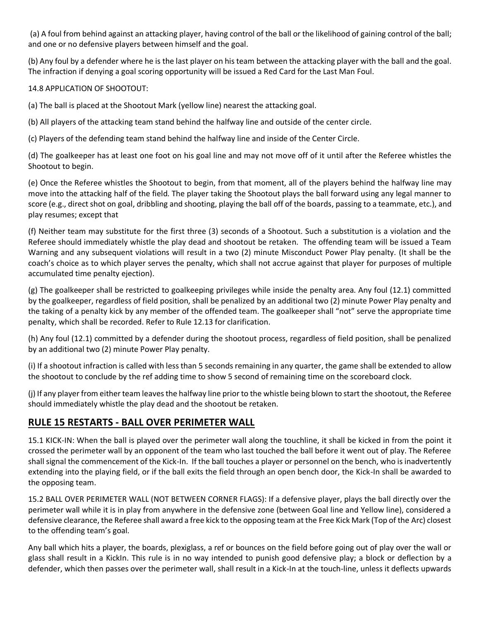(a) A foul from behind against an attacking player, having control of the ball or the likelihood of gaining control of the ball; and one or no defensive players between himself and the goal.

(b) Any foul by a defender where he is the last player on his team between the attacking player with the ball and the goal. The infraction if denying a goal scoring opportunity will be issued a Red Card for the Last Man Foul.

#### 14.8 APPLICATION OF SHOOTOUT:

(a) The ball is placed at the Shootout Mark (yellow line) nearest the attacking goal.

(b) All players of the attacking team stand behind the halfway line and outside of the center circle.

(c) Players of the defending team stand behind the halfway line and inside of the Center Circle.

(d) The goalkeeper has at least one foot on his goal line and may not move off of it until after the Referee whistles the Shootout to begin.

(e) Once the Referee whistles the Shootout to begin, from that moment, all of the players behind the halfway line may move into the attacking half of the field. The player taking the Shootout plays the ball forward using any legal manner to score (e.g., direct shot on goal, dribbling and shooting, playing the ball off of the boards, passing to a teammate, etc.), and play resumes; except that

(f) Neither team may substitute for the first three (3) seconds of a Shootout. Such a substitution is a violation and the Referee should immediately whistle the play dead and shootout be retaken. The offending team will be issued a Team Warning and any subsequent violations will result in a two (2) minute Misconduct Power Play penalty. (It shall be the coach's choice as to which player serves the penalty, which shall not accrue against that player for purposes of multiple accumulated time penalty ejection).

(g) The goalkeeper shall be restricted to goalkeeping privileges while inside the penalty area. Any foul (12.1) committed by the goalkeeper, regardless of field position, shall be penalized by an additional two (2) minute Power Play penalty and the taking of a penalty kick by any member of the offended team. The goalkeeper shall "not" serve the appropriate time penalty, which shall be recorded. Refer to Rule 12.13 for clarification.

(h) Any foul (12.1) committed by a defender during the shootout process, regardless of field position, shall be penalized by an additional two (2) minute Power Play penalty.

(i) If a shootout infraction is called with less than 5 seconds remaining in any quarter, the game shall be extended to allow the shootout to conclude by the ref adding time to show 5 second of remaining time on the scoreboard clock.

(j) If any player from either team leaves the halfway line prior to the whistle being blown to start the shootout, the Referee should immediately whistle the play dead and the shootout be retaken.

#### **RULE 15 RESTARTS - BALL OVER PERIMETER WALL**

15.1 KICK-IN: When the ball is played over the perimeter wall along the touchline, it shall be kicked in from the point it crossed the perimeter wall by an opponent of the team who last touched the ball before it went out of play. The Referee shall signal the commencement of the Kick-In. If the ball touches a player or personnel on the bench, who is inadvertently extending into the playing field, or if the ball exits the field through an open bench door, the Kick-In shall be awarded to the opposing team.

15.2 BALL OVER PERIMETER WALL (NOT BETWEEN CORNER FLAGS): If a defensive player, plays the ball directly over the perimeter wall while it is in play from anywhere in the defensive zone (between Goal line and Yellow line), considered a defensive clearance, the Referee shall award a free kick to the opposing team at the Free Kick Mark (Top of the Arc) closest to the offending team's goal.

Any ball which hits a player, the boards, plexiglass, a ref or bounces on the field before going out of play over the wall or glass shall result in a KickIn. This rule is in no way intended to punish good defensive play; a block or deflection by a defender, which then passes over the perimeter wall, shall result in a Kick-In at the touch-line, unless it deflects upwards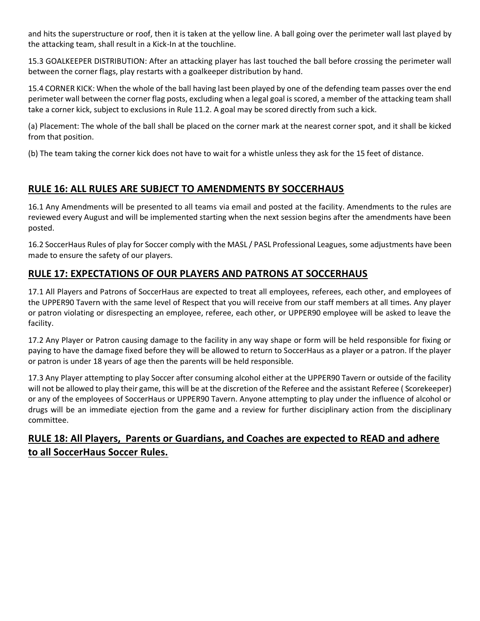and hits the superstructure or roof, then it is taken at the yellow line. A ball going over the perimeter wall last played by the attacking team, shall result in a Kick-In at the touchline.

15.3 GOALKEEPER DISTRIBUTION: After an attacking player has last touched the ball before crossing the perimeter wall between the corner flags, play restarts with a goalkeeper distribution by hand.

15.4 CORNER KICK: When the whole of the ball having last been played by one of the defending team passes over the end perimeter wall between the corner flag posts, excluding when a legal goal is scored, a member of the attacking team shall take a corner kick, subject to exclusions in Rule 11.2. A goal may be scored directly from such a kick.

(a) Placement: The whole of the ball shall be placed on the corner mark at the nearest corner spot, and it shall be kicked from that position.

(b) The team taking the corner kick does not have to wait for a whistle unless they ask for the 15 feet of distance.

## **RULE 16: ALL RULES ARE SUBJECT TO AMENDMENTS BY SOCCERHAUS**

16.1 Any Amendments will be presented to all teams via email and posted at the facility. Amendments to the rules are reviewed every August and will be implemented starting when the next session begins after the amendments have been posted.

16.2 SoccerHaus Rules of play for Soccer comply with the MASL / PASL Professional Leagues, some adjustments have been made to ensure the safety of our players.

## **RULE 17: EXPECTATIONS OF OUR PLAYERS AND PATRONS AT SOCCERHAUS**

17.1 All Players and Patrons of SoccerHaus are expected to treat all employees, referees, each other, and employees of the UPPER90 Tavern with the same level of Respect that you will receive from our staff members at all times. Any player or patron violating or disrespecting an employee, referee, each other, or UPPER90 employee will be asked to leave the facility.

17.2 Any Player or Patron causing damage to the facility in any way shape or form will be held responsible for fixing or paying to have the damage fixed before they will be allowed to return to SoccerHaus as a player or a patron. If the player or patron is under 18 years of age then the parents will be held responsible.

17.3 Any Player attempting to play Soccer after consuming alcohol either at the UPPER90 Tavern or outside of the facility will not be allowed to play their game, this will be at the discretion of the Referee and the assistant Referee ( Scorekeeper) or any of the employees of SoccerHaus or UPPER90 Tavern. Anyone attempting to play under the influence of alcohol or drugs will be an immediate ejection from the game and a review for further disciplinary action from the disciplinary committee.

## **RULE 18: All Players, Parents or Guardians, and Coaches are expected to READ and adhere to all SoccerHaus Soccer Rules.**